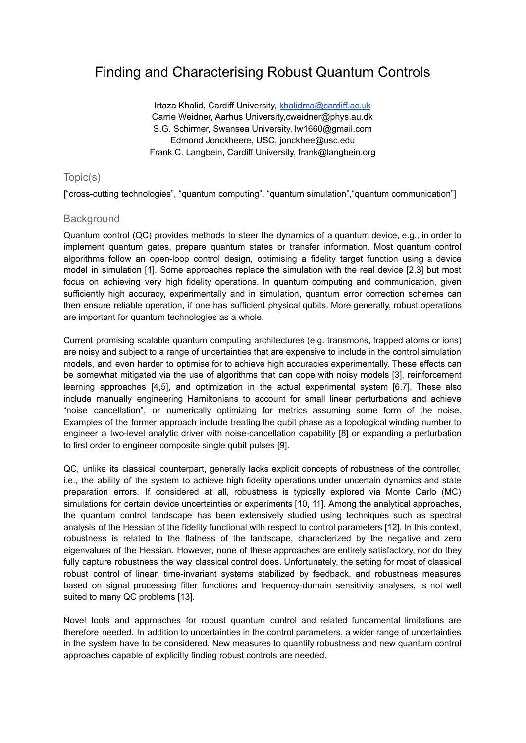# Finding and Characterising Robust Quantum Controls

Irtaza Khalid, Cardiff University, [khalidma@cardiff.ac.uk](mailto:khalidma@cardiff.ac.uk) Carrie Weidner, Aarhus University,cweidner@phys.au.dk S.G. Schirmer, Swansea University, lw1660@gmail.com Edmond Jonckheere, USC, jonckhee@usc.edu Frank C. Langbein, Cardiff University, frank@langbein.org

## Topic(s)

["cross-cutting technologies", "quantum computing", "quantum simulation","quantum communication"]

## **Background**

Quantum control (QC) provides methods to steer the dynamics of a quantum device, e.g., in order to implement quantum gates, prepare quantum states or transfer information. Most quantum control algorithms follow an open-loop control design, optimising a fidelity target function using a device model in simulation [1]. Some approaches replace the simulation with the real device [2,3] but most focus on achieving very high fidelity operations. In quantum computing and communication, given sufficiently high accuracy, experimentally and in simulation, quantum error correction schemes can then ensure reliable operation, if one has sufficient physical qubits. More generally, robust operations are important for quantum technologies as a whole.

Current promising scalable quantum computing architectures (e.g. transmons, trapped atoms or ions) are noisy and subject to a range of uncertainties that are expensive to include in the control simulation models, and even harder to optimise for to achieve high accuracies experimentally. These effects can be somewhat mitigated via the use of algorithms that can cope with noisy models [3], reinforcement learning approaches [4,5], and optimization in the actual experimental system [6,7]. These also include manually engineering Hamiltonians to account for small linear perturbations and achieve "noise cancellation", or numerically optimizing for metrics assuming some form of the noise. Examples of the former approach include treating the qubit phase as a topological winding number to engineer a two-level analytic driver with noise-cancellation capability [8] or expanding a perturbation to first order to engineer composite single qubit pulses [9].

QC, unlike its classical counterpart, generally lacks explicit concepts of robustness of the controller, i.e., the ability of the system to achieve high fidelity operations under uncertain dynamics and state preparation errors. If considered at all, robustness is typically explored via Monte Carlo (MC) simulations for certain device uncertainties or experiments [10, 11]. Among the analytical approaches, the quantum control landscape has been extensively studied using techniques such as spectral analysis of the Hessian of the fidelity functional with respect to control parameters [12]. In this context, robustness is related to the flatness of the landscape, characterized by the negative and zero eigenvalues of the Hessian. However, none of these approaches are entirely satisfactory, nor do they fully capture robustness the way classical control does. Unfortunately, the setting for most of classical robust control of linear, time-invariant systems stabilized by feedback, and robustness measures based on signal processing filter functions and frequency-domain sensitivity analyses, is not well suited to many QC problems [13].

Novel tools and approaches for robust quantum control and related fundamental limitations are therefore needed. In addition to uncertainties in the control parameters, a wider range of uncertainties in the system have to be considered. New measures to quantify robustness and new quantum control approaches capable of explicitly finding robust controls are needed.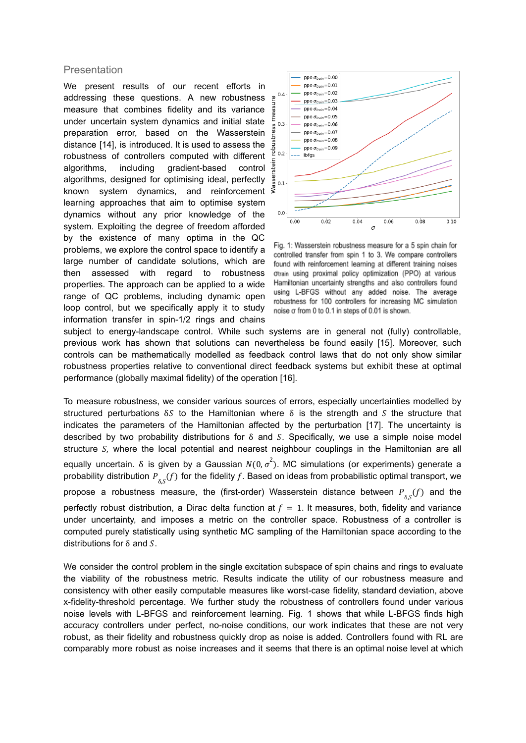#### **Presentation**

We present results of our recent efforts in addressing these questions. A new robustness measure that combines fidelity and its variance under uncertain system dynamics and initial state preparation error, based on the Wasserstein distance [14], is introduced. It is used to assess the robustness of controllers computed with different algorithms, including gradient-based control algorithms, designed for optimising ideal, perfectly known system dynamics, and reinforcement learning approaches that aim to optimise system dynamics without any prior knowledge of the system. Exploiting the degree of freedom afforded by the existence of many optima in the QC problems, we explore the control space to identify a large number of candidate solutions, which are then assessed with regard to robustness properties. The approach can be applied to a wide range of QC problems, including dynamic open loop control, but we specifically apply it to study information transfer in spin-1/2 rings and chains



Fig. 1: Wasserstein robustness measure for a 5 spin chain for controlled transfer from spin 1 to 3. We compare controllers found with reinforcement learning at different training noises otrain using proximal policy optimization (PPO) at various Hamiltonian uncertainty strengths and also controllers found using L-BFGS without any added noise. The average robustness for 100 controllers for increasing MC simulation noise o from 0 to 0.1 in steps of 0.01 is shown.

subject to energy-landscape control. While such systems are in general not (fully) controllable, previous work has shown that solutions can nevertheless be found easily [15]. Moreover, such controls can be mathematically modelled as feedback control laws that do not only show similar robustness properties relative to conventional direct feedback systems but exhibit these at optimal performance (globally maximal fidelity) of the operation [16].

To measure robustness, we consider various sources of errors, especially uncertainties modelled by structured perturbations  $\delta S$  to the Hamiltonian where  $\delta$  is the strength and S the structure that indicates the parameters of the Hamiltonian affected by the perturbation [17]. The uncertainty is described by two probability distributions for  $\delta$  and S. Specifically, we use a simple noise model structure  $S$ , where the local potential and nearest neighbour couplings in the Hamiltonian are all equally uncertain. δ is given by a Gaussian  $N(0, \sigma^2)$ . MC simulations (or experiments) generate a probability distribution  $P^-_{\delta,S}(f)$  for the fidelity  $f.$  Based on ideas from probabilistic optimal transport, we propose a robustness measure, the (first-order) Wasserstein distance between  $P_{\delta,S}(f)$  and the perfectly robust distribution, a Dirac delta function at  $f = 1$ . It measures, both, fidelity and variance under uncertainty, and imposes a metric on the controller space. Robustness of a controller is computed purely statistically using synthetic MC sampling of the Hamiltonian space according to the distributions for  $\delta$  and  $S$ .

We consider the control problem in the single excitation subspace of spin chains and rings to evaluate the viability of the robustness metric. Results indicate the utility of our robustness measure and consistency with other easily computable measures like worst-case fidelity, standard deviation, above x-fidelity-threshold percentage. We further study the robustness of controllers found under various noise levels with L-BFGS and reinforcement learning. Fig. 1 shows that while L-BFGS finds high accuracy controllers under perfect, no-noise conditions, our work indicates that these are not very robust, as their fidelity and robustness quickly drop as noise is added. Controllers found with RL are comparably more robust as noise increases and it seems that there is an optimal noise level at which